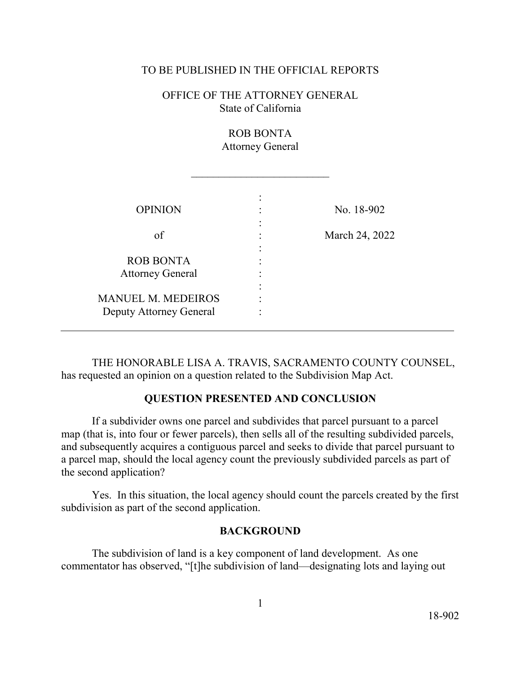#### TO BE PUBLISHED IN THE OFFICIAL REPORTS

# OFFICE OF THE ATTORNEY GENERAL State of California

ROB BONTA Attorney General

 $\frac{1}{2}$  ,  $\frac{1}{2}$  ,  $\frac{1}{2}$  ,  $\frac{1}{2}$  ,  $\frac{1}{2}$  ,  $\frac{1}{2}$  ,  $\frac{1}{2}$  ,  $\frac{1}{2}$  ,  $\frac{1}{2}$  ,  $\frac{1}{2}$  ,  $\frac{1}{2}$  ,  $\frac{1}{2}$  ,  $\frac{1}{2}$  ,  $\frac{1}{2}$  ,  $\frac{1}{2}$  ,  $\frac{1}{2}$  ,  $\frac{1}{2}$  ,  $\frac{1}{2}$  ,  $\frac{1$ 

|                           | ٠ |                |
|---------------------------|---|----------------|
| <b>OPINION</b>            |   | No. 18-902     |
| of                        |   | March 24, 2022 |
| <b>ROB BONTA</b>          | ٠ |                |
| <b>Attorney General</b>   |   |                |
| <b>MANUEL M. MEDEIROS</b> |   |                |
| Deputy Attorney General   |   |                |

 THE HONORABLE LISA A. TRAVIS, SACRAMENTO COUNTY COUNSEL, has requested an opinion on a question related to the Subdivision Map Act.

#### **QUESTION PRESENTED AND CONCLUSION**

If a subdivider owns one parcel and subdivides that parcel pursuant to a parcel map (that is, into four or fewer parcels), then sells all of the resulting subdivided parcels, and subsequently acquires a contiguous parcel and seeks to divide that parcel pursuant to a parcel map, should the local agency count the previously subdivided parcels as part of the second application?

Yes. In this situation, the local agency should count the parcels created by the first subdivision as part of the second application.

### **BACKGROUND**

The subdivision of land is a key component of land development. As one commentator has observed, "[t]he subdivision of land—designating lots and laying out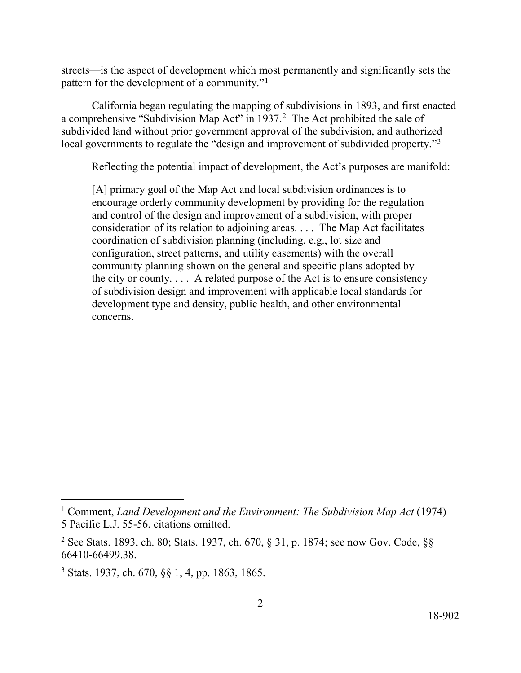streets—is the aspect of development which most permanently and significantly sets the pattern for the development of a community."[1](#page-1-0)

a comprehensive "Subdivision Map Act" in  $1937<sup>2</sup>$  $1937<sup>2</sup>$  $1937<sup>2</sup>$  The Act prohibited the sale of local governments to regulate the "design and improvement of subdivided property."<sup>[3](#page-1-2)</sup> California began regulating the mapping of subdivisions in 1893, and first enacted subdivided land without prior government approval of the subdivision, and authorized

 Reflecting the potential impact of development, the Act's purposes are manifold: [A] primary goal of the Map Act and local subdivision ordinances is to the city or county. . . . A related purpose of the Act is to ensure consistency concerns. encourage orderly community development by providing for the regulation and control of the design and improvement of a subdivision, with proper consideration of its relation to adjoining areas. . . . The Map Act facilitates coordination of subdivision planning (including, e.g., lot size and configuration, street patterns, and utility easements) with the overall community planning shown on the general and specific plans adopted by of subdivision design and improvement with applicable local standards for development type and density, public health, and other environmental

<span id="page-1-0"></span> $\overline{a}$ 

<sup>5</sup> Pacific L.J. 55-56, citations omitted. concerns. 1 Comment, *Land Development and the Environment: The Subdivision Map Act* (1974)

<span id="page-1-1"></span><sup>&</sup>lt;sup>2</sup> See Stats. 1893, ch. 80; Stats. 1937, ch. 670, § 31, p. 1874; see now Gov. Code, §§ [66410-66499.38](https://66410-66499.38).

<span id="page-1-2"></span><sup>3</sup> Stats. 1937, ch. 670, §§ 1, 4, pp. 1863, 1865.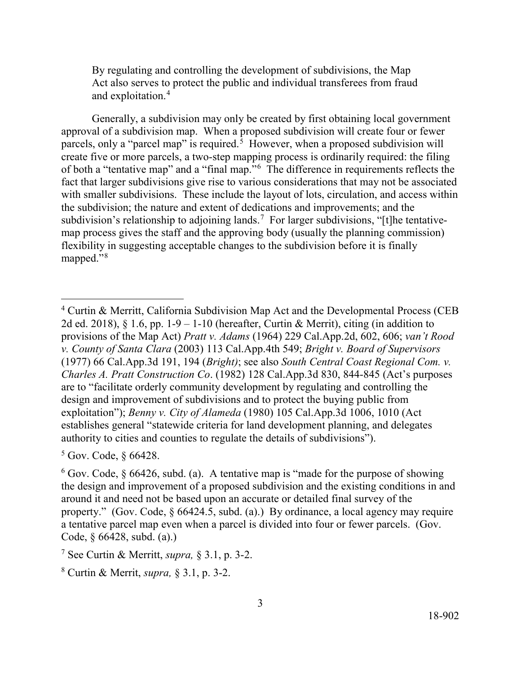and exploitation.<sup>[4](#page-2-0)</sup> By regulating and controlling the development of subdivisions, the Map Act also serves to protect the public and individual transferees from fraud

parcels, only a "parcel map" is required.<sup>[5](#page-2-1)</sup> However, when a proposed subdivision will of both a "tentative map" and a "final map."<sup>6</sup> The difference in requirements reflects the fact that larger subdivisions give rise to various considerations that may not be associated with smaller subdivisions. These include the layout of lots, circulation, and access within subdivision's relationship to adjoining lands.<sup>[7](#page-2-3)</sup> For larger subdivisions, "[t]he tentative- mapped."[8](#page-2-4)  Generally, a subdivision may only be created by first obtaining local government approval of a subdivision map. When a proposed subdivision will create four or fewer create five or more parcels, a two-step mapping process is ordinarily required: the filing the subdivision; the nature and extent of dedications and improvements; and the map process gives the staff and the approving body (usually the planning commission) flexibility in suggesting acceptable changes to the subdivision before it is finally

<span id="page-2-1"></span>5 Gov. Code, § 66428.

<span id="page-2-0"></span><sup>2</sup>d ed. 2018),  $\S 1.6$ , pp. 1-9 – 1-10 (hereafter, Curtin & Merrit), citing (in addition to (1977) 66 [Cal.App.3d](https://Cal.App.3d) 191, 194 (*Bright)*; see also *South Central Coast Regional Com. v.*  4 Curtin & Merritt, California Subdivision Map Act and the Developmental Process (CEB provisions of the Map Act) *Pratt v. Adams* (1964) 229 [Cal.App.2d](https://Cal.App.2d), 602, 606; *van't Rood v. County of Santa Clara* (2003) 113 Cal.App.4th 549; *Bright v. Board of Supervisors Charles A. Pratt Construction Co*. (1982) 128 [Cal.App.3d](https://Cal.App.3d) 830, 844-845 (Act's purposes are to "facilitate orderly community development by regulating and controlling the design and improvement of subdivisions and to protect the buying public from exploitation"); *Benny v. City of Alameda* (1980) 105 [Cal.App.3d](https://Cal.App.3d) 1006, 1010 (Act establishes general "statewide criteria for land development planning, and delegates authority to cities and counties to regulate the details of subdivisions").

<span id="page-2-2"></span> $6$  Gov. Code,  $\frac{6}{9}$  66426, subd. (a). A tentative map is "made for the purpose of showing the design and improvement of a proposed subdivision and the existing conditions in and around it and need not be based upon an accurate or detailed final survey of the property." (Gov. Code,  $\S$  66424.5, subd. (a).) By ordinance, a local agency may require a tentative parcel map even when a parcel is divided into four or fewer parcels. (Gov. Code, § 66428, subd. (a).)

<span id="page-2-3"></span><sup>7</sup> See Curtin & Merritt, *supra,* § 3.1, p. 3-2.

<span id="page-2-4"></span> 8 Curtin & Merrit, *supra,* § 3.1, p. 3-2. 3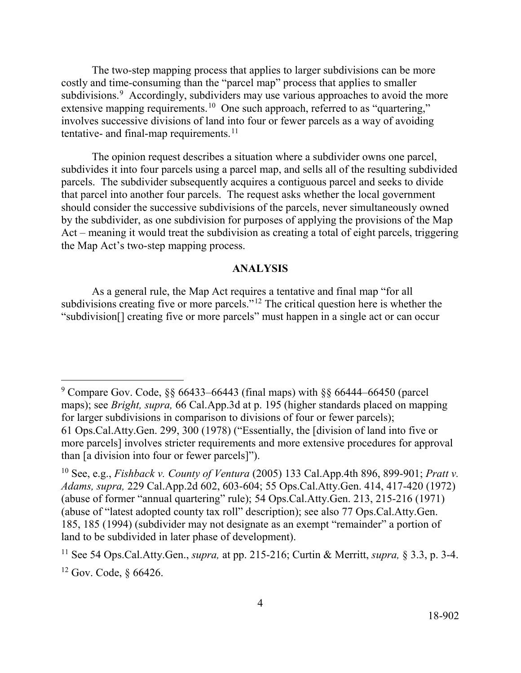subdivisions.<sup>[9](#page-3-0)</sup> Accordingly, subdividers may use various approaches to avoid the more extensive mapping requirements.<sup>1[0](#page-3-1)</sup> One such approach, referred to as "quartering," involves successive divisions of land into four or fewer parcels as a way of avoiding tentative- and final-map requirements. $11$  $11$ The two-step mapping process that applies to larger subdivisions can be more costly and time-consuming than the "parcel map" process that applies to smaller

 The opinion request describes a situation where a subdivider owns one parcel, should consider the successive subdivisions of the parcels, never simultaneously owned Act – meaning it would treat the subdivision as creating a total of eight parcels, triggering subdivides it into four parcels using a parcel map, and sells all of the resulting subdivided parcels. The subdivider subsequently acquires a contiguous parcel and seeks to divide that parcel into another four parcels. The request asks whether the local government by the subdivider, as one subdivision for purposes of applying the provisions of the Map the Map Act's two-step mapping process.

## **ANALYSIS**

As a general rule, the Map Act requires a tentative and final map "for all subdivisions creating five or more parcels."<sup>12</sup> The critical question here is whether the "subdivision[] creating five or more parcels" must happen in a single act or can occur

<span id="page-3-0"></span> maps); see *Bright, supra,* 66 [Cal.App.3d](https://Cal.App.3d) at p. 195 (higher standards placed on mapping than [a division into four or fewer parcels]").  $9$  Compare Gov. Code, §§ 66433–66443 (final maps) with §§ 66444–66450 (parcel for larger subdivisions in comparison to divisions of four or fewer parcels); 61 Ops.Cal.Atty.Gen. 299, 300 (1978) ("Essentially, the [division of land into five or more parcels] involves stricter requirements and more extensive procedures for approval

<span id="page-3-1"></span> $t^{10}$  See, e.g., *Fishback v. County of Ventura* (2005) 133 Cal.App.4th 896, 899-901; *Pratt v. Adams, supra,* 229 [Cal.App.2d](https://Cal.App.2d) 602, 603-604; 55 Ops.Cal.Atty.Gen. 414, 417-420 (1972) (abuse of former "annual quartering" rule); 54 Ops.Cal.Atty.Gen. 213, 215-216 (1971) (abuse of "latest adopted county tax roll" description); see also 77 Ops.Cal.Atty.Gen. 185, 185 (1994) (subdivider may not designate as an exempt "remainder" a portion of land to be subdivided in later phase of development).

<span id="page-3-2"></span><sup>11</sup> See 54 Ops.Cal.Atty.Gen., *supra,* at pp. 215-216; Curtin & Merritt, *supra,* § 3.3, p. 3-4.

<span id="page-3-3"></span> $12$  Gov. Code,  $§$  66426.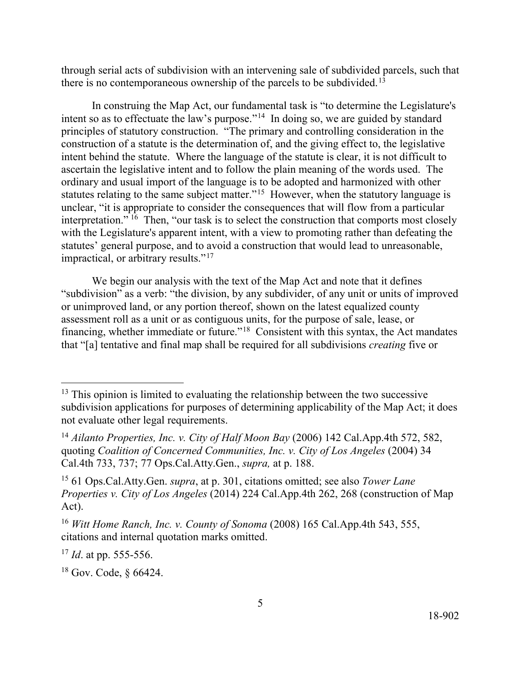there is no contemporaneous ownership of the parcels to be [subdivided.](https://subdivided.13)<sup>[13](#page-4-0)</sup> through serial acts of subdivision with an intervening sale of subdivided parcels, such that

intent so as to effectuate the law's purpose."<sup>14</sup> In doing so, we are guided by standard statutes relating to the same subject matter."<sup>[15](#page-4-2)</sup> However, when the statutory language is interpretation." <sup>16</sup> Then, "our task is to select the construction that comports most closely In construing the Map Act, our fundamental task is "to determine the Legislature's principles of statutory construction. "The primary and controlling consideration in the construction of a statute is the determination of, and the giving effect to, the legislative intent behind the statute. Where the language of the statute is clear, it is not difficult to ascertain the legislative intent and to follow the plain meaning of the words used. The ordinary and usual import of the language is to be adopted and harmonized with other unclear, "it is appropriate to consider the consequences that will flow from a particular with the Legislature's apparent intent, with a view to promoting rather than defeating the statutes' general purpose, and to avoid a construction that would lead to unreasonable, impractical, or arbitrary results."<sup>[17](#page-4-4)</sup>

 "subdivision" as a verb: "the division, by any subdivider, of any unit or units of improved financing, whether immediate or future."<sup>[18](#page-4-5)</sup> Consistent with this syntax, the Act mandates We begin our analysis with the text of the Map Act and note that it defines or unimproved land, or any portion thereof, shown on the latest equalized county assessment roll as a unit or as contiguous units, for the purpose of sale, lease, or that "[a] tentative and final map shall be required for all subdivisions *creating* five or

 $\overline{a}$ 

<span id="page-4-0"></span> $13$  This opinion is limited to evaluating the relationship between the two successive subdivision applications for purposes of determining applicability of the Map Act; it does not evaluate other legal requirements.

<span id="page-4-1"></span> Cal.4th 733, 737; 77 Ops.Cal.Atty.Gen., *supra,* at p. 188. <sup>14</sup> Ailanto Properties, Inc. v. City of Half Moon Bay (2006) 142 Cal.App.4th 572, 582, quoting *Coalition of Concerned Communities, Inc. v. City of Los Angeles* (2004) 34

<span id="page-4-2"></span>Act). 15 61 Ops.Cal.Atty.Gen. *supra*, at p. 301, citations omitted; see also *Tower Lane Properties v. City of Los Angeles* (2014) 224 Cal.App.4th 262, 268 (construction of Map

<span id="page-4-3"></span><sup>&</sup>lt;sup>16</sup> *Witt Home Ranch, Inc. v. County of Sonoma* (2008) 165 Cal.App.4th 543, 555, citations and internal quotation marks omitted.

<span id="page-4-4"></span> <sup>17</sup>*Id*. at pp. 555-556.

<span id="page-4-5"></span><sup>18</sup> Gov. Code, § 66424.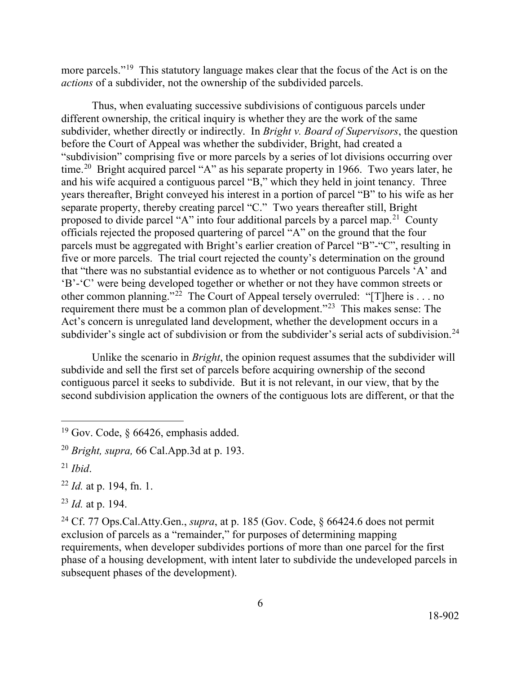more parcels."<sup>19</sup> This statutory language makes clear that the focus of the Act is on the *actions* of a subdivider, not the ownership of the subdivided parcels.

 subdivider, whether directly or indirectly. In *Bright v. Board of Supervisors*, the question before the Court of Appeal was whether the subdivider, Bright, had created a "subdivision" comprising five or more parcels by a series of lot divisions occurring over time.<sup>20</sup> Bright acquired parcel "A" as his separate property in 1966. Two years later, he separate property, thereby creating parcel "C." Two years thereafter still, Bright proposed to divide parcel "A" into four additional parcels by a parcel map.<sup>[21](#page-5-2)</sup> County five or more parcels. The trial court rejected the county's determination on the ground other common planning."<sup>[22](#page-5-3)</sup> The Court of Appeal tersely overruled: "[T]here is . . . no requirement there must be a common plan of development."<sup>[23](#page-5-4)</sup> This makes sense: The Thus, when evaluating successive subdivisions of contiguous parcels under different ownership, the critical inquiry is whether they are the work of the same and his wife acquired a contiguous parcel "B," which they held in joint tenancy. Three years thereafter, Bright conveyed his interest in a portion of parcel "B" to his wife as her officials rejected the proposed quartering of parcel "A" on the ground that the four parcels must be aggregated with Bright's earlier creation of Parcel "B"-"C", resulting in that "there was no substantial evidence as to whether or not contiguous Parcels 'A' and 'B'-'C' were being developed together or whether or not they have common streets or Act's concern is unregulated land development, whether the development occurs in a subdivider's single act of subdivision or from the subdivider's serial acts of subdivision.<sup>24</sup>

Unlike the scenario in *Bright*, the opinion request assumes that the subdivider will subdivide and sell the first set of parcels before acquiring ownership of the second contiguous parcel it seeks to subdivide. But it is not relevant, in our view, that by the second subdivision application the owners of the contiguous lots are different, or that the

<span id="page-5-0"></span><sup>&</sup>lt;sup>19</sup> Gov. Code,  $\S$  66426, emphasis added.

<span id="page-5-1"></span><sup>20</sup>*Bright, supra,* 66 [Cal.App.3d](https://Cal.App.3d) at p. 193.

<span id="page-5-2"></span> <sup>21</sup>*Ibid*.

<span id="page-5-3"></span> <sup>22</sup>*Id.* at p. 194, fn. 1.

<span id="page-5-4"></span><sup>23</sup>*Id.* at p. 194.

<span id="page-5-5"></span> exclusion of parcels as a "remainder," for purposes of determining mapping phase of a housing development, with intent later to subdivide the undeveloped parcels in 24 Cf. 77 Ops.Cal.Atty.Gen., *supra*, at p. 185 (Gov. Code, § 66424.6 does not permit requirements, when developer subdivides portions of more than one parcel for the first subsequent phases of the development).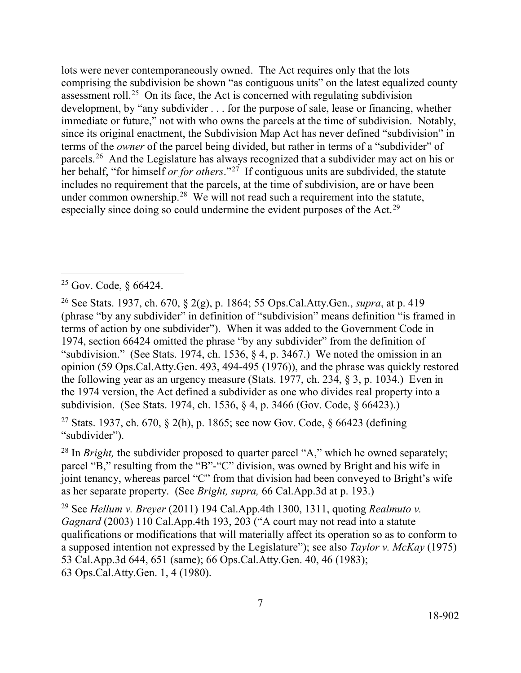assessment roll.<sup>[25](#page-6-0)</sup> On its face, the Act is concerned with regulating subdivision terms of the *owner* of the parcel being divided, but rather in terms of a "subdivider" of parcels.<sup>[26](#page-6-1)</sup> And the Legislature has always recognized that a subdivider may act on his or her behalf, "for himself *or for others*."[27](#page-6-2) If contiguous units are subdivided, the statute includes no requirement that the parcels, at the time of subdivision, are or have been under common ownership.<sup>[28](#page-6-3)</sup> We will not read such a requirement into the statute, especially since doing so could undermine the evident purposes of the Act.<sup>[29](#page-6-4)</sup> lots were never contemporaneously owned. The Act requires only that the lots comprising the subdivision be shown "as contiguous units" on the latest equalized county development, by "any subdivider . . . for the purpose of sale, lease or financing, whether immediate or future," not with who owns the parcels at the time of subdivision. Notably, since its original enactment, the Subdivision Map Act has never defined "subdivision" in

 $\overline{a}$ 

<span id="page-6-2"></span><sup>27</sup> Stats. 1937, ch. 670, § 2(h), p. 1865; see now Gov. Code, § 66423 (defining "subdivider").

<span id="page-6-3"></span> as her separate property. (See *Bright, supra,* 66 [Cal.App.3d](https://Cal.App.3d) at p. 193.) <sup>28</sup> In *Bright*, the subdivider proposed to quarter parcel "A," which he owned separately; parcel "B," resulting from the "B"-"C" division, was owned by Bright and his wife in joint tenancy, whereas parcel "C" from that division had been conveyed to Bright's wife

<span id="page-6-4"></span>29 See *Hellum v. Breyer* (2011) 194 Cal.App.4th 1300, 1311, quoting *Realmuto v. Gagnard* (2003) 110 Cal.App.4th 193, 203 ("A court may not read into a statute qualifications or modifications that will materially affect its operation so as to conform to a supposed intention not expressed by the Legislature"); see also *Taylor v. McKay* (1975) 53 [Cal.App.3d](https://Cal.App.3d) 644, 651 (same); 66 Ops.Cal.Atty.Gen. 40, 46 (1983); 63 Ops.Cal.Atty.Gen. 1, 4 (1980).

<span id="page-6-0"></span><sup>25</sup> Gov. Code, § 66424.

<span id="page-6-1"></span> 1974, section 66424 omitted the phrase "by any subdivider" from the definition of 26 See Stats. 1937, ch. 670, § 2(g), p. 1864; 55 Ops.Cal.Atty.Gen., *supra*, at p. 419 (phrase "by any subdivider" in definition of "subdivision" means definition "is framed in terms of action by one subdivider"). When it was added to the Government Code in "subdivision." (See Stats. 1974, ch. 1536, § 4, p. 3467.) We noted the omission in an opinion (59 Ops.Cal.Atty.Gen. 493, 494-495 (1976)), and the phrase was quickly restored the following year as an urgency measure (Stats. 1977, ch. 234, § 3, p. 1034.) Even in the 1974 version, the Act defined a subdivider as one who divides real property into a subdivision. (See Stats. 1974, ch. 1536, § 4, p. 3466 (Gov. Code, § 66423).)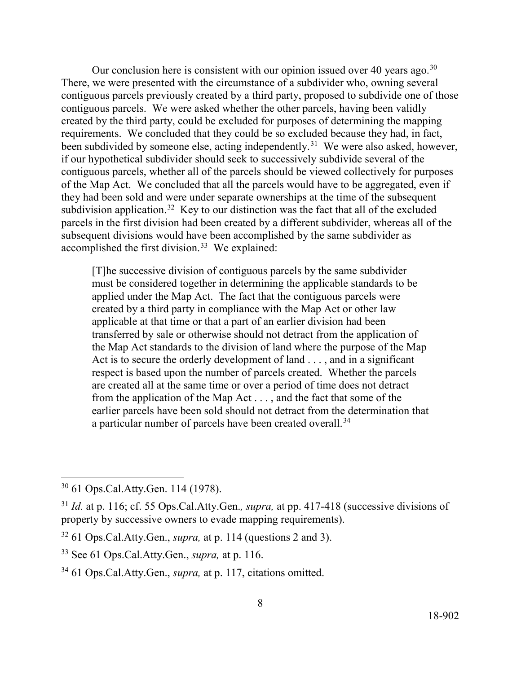Our conclusion here is consistent with our opinion issued over 40 years ago.<sup>30</sup> contiguous parcels. We were asked whether the other parcels, having been validly been subdivided by someone else, acting independently.<sup>31</sup> We were also asked, however, subdivision application.<sup>[32](#page-7-2)</sup> Key to our distinction was the fact that all of the excluded accomplished the first division.<sup>[33](#page-7-3)</sup> We explained: There, we were presented with the circumstance of a subdivider who, owning several contiguous parcels previously created by a third party, proposed to subdivide one of those created by the third party, could be excluded for purposes of determining the mapping requirements. We concluded that they could be so excluded because they had, in fact, if our hypothetical subdivider should seek to successively subdivide several of the contiguous parcels, whether all of the parcels should be viewed collectively for purposes of the Map Act. We concluded that all the parcels would have to be aggregated, even if they had been sold and were under separate ownerships at the time of the subsequent parcels in the first division had been created by a different subdivider, whereas all of the subsequent divisions would have been accomplished by the same subdivider as

[T]he successive division of contiguous parcels by the same subdivider must be considered together in determining the applicable standards to be applied under the Map Act. The fact that the contiguous parcels were created by a third party in compliance with the Map Act or other law applicable at that time or that a part of an earlier division had been transferred by sale or otherwise should not detract from the application of the Map Act standards to the division of land where the purpose of the Map Act is to secure the orderly development of land . . . , and in a significant respect is based upon the number of parcels created. Whether the parcels are created all at the same time or over a period of time does not detract from the application of the Map Act . . . , and the fact that some of the earlier parcels have been sold should not detract from the determination that a particular number of parcels have been created overall.<sup>[34](#page-7-4)</sup>

<span id="page-7-0"></span><sup>30 61</sup> Ops.Cal.Atty.Gen. 114 (1978).

<span id="page-7-1"></span>property by successive owners to evade mapping requirements). <sup>31</sup>*Id.* at p. 116; cf. 55 Ops.Cal.Atty.Gen.*, supra,* at pp. 417-418 (successive divisions of

property by successive owners to evade mapping requirements).<br><sup>32</sup> 61 Ops.Cal.Atty.Gen., *supra*, at p. 114 (questions 2 and 3).

<span id="page-7-3"></span><span id="page-7-2"></span><sup>33</sup> See 61 Ops.Cal.Atty.Gen., *supra,* at p. 116.

<span id="page-7-4"></span> 34 61 Ops.Cal.Atty.Gen., *supra,* at p. 117, citations omitted.